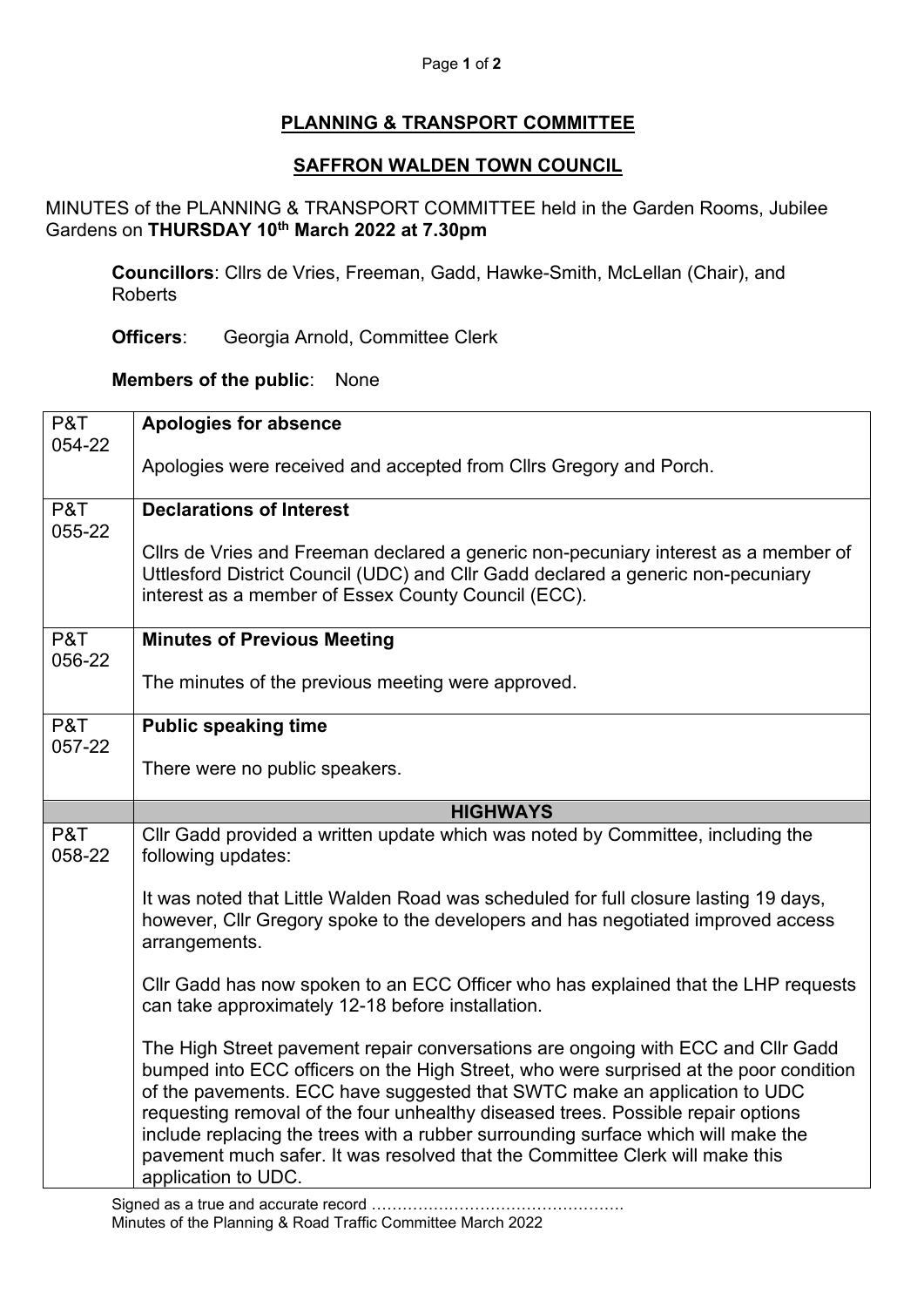## **PLANNING & TRANSPORT COMMITTEE**

## **SAFFRON WALDEN TOWN COUNCIL**

MINUTES of the PLANNING & TRANSPORT COMMITTEE held in the Garden Rooms, Jubilee Gardens on **THURSDAY 10th March 2022 at 7.30pm**

**Councillors**: Cllrs de Vries, Freeman, Gadd, Hawke-Smith, McLellan (Chair), and Roberts

**Officers**: Georgia Arnold, Committee Clerk

**Members of the public**: None

| P&T           | <b>Apologies for absence</b>                                                                                                                                                                                                                                                                                                                                                                                                                                                                                                           |
|---------------|----------------------------------------------------------------------------------------------------------------------------------------------------------------------------------------------------------------------------------------------------------------------------------------------------------------------------------------------------------------------------------------------------------------------------------------------------------------------------------------------------------------------------------------|
| 054-22        | Apologies were received and accepted from Cllrs Gregory and Porch.                                                                                                                                                                                                                                                                                                                                                                                                                                                                     |
|               |                                                                                                                                                                                                                                                                                                                                                                                                                                                                                                                                        |
| P&T<br>055-22 | <b>Declarations of Interest</b>                                                                                                                                                                                                                                                                                                                                                                                                                                                                                                        |
|               | Cllrs de Vries and Freeman declared a generic non-pecuniary interest as a member of<br>Uttlesford District Council (UDC) and Cllr Gadd declared a generic non-pecuniary<br>interest as a member of Essex County Council (ECC).                                                                                                                                                                                                                                                                                                         |
| P&T<br>056-22 | <b>Minutes of Previous Meeting</b>                                                                                                                                                                                                                                                                                                                                                                                                                                                                                                     |
|               | The minutes of the previous meeting were approved.                                                                                                                                                                                                                                                                                                                                                                                                                                                                                     |
| P&T<br>057-22 | <b>Public speaking time</b>                                                                                                                                                                                                                                                                                                                                                                                                                                                                                                            |
|               | There were no public speakers.                                                                                                                                                                                                                                                                                                                                                                                                                                                                                                         |
|               | <b>HIGHWAYS</b>                                                                                                                                                                                                                                                                                                                                                                                                                                                                                                                        |
| P&T<br>058-22 | CIIr Gadd provided a written update which was noted by Committee, including the<br>following updates:                                                                                                                                                                                                                                                                                                                                                                                                                                  |
|               | It was noted that Little Walden Road was scheduled for full closure lasting 19 days,<br>however, Cllr Gregory spoke to the developers and has negotiated improved access<br>arrangements.                                                                                                                                                                                                                                                                                                                                              |
|               | Cllr Gadd has now spoken to an ECC Officer who has explained that the LHP requests<br>can take approximately 12-18 before installation.                                                                                                                                                                                                                                                                                                                                                                                                |
|               | The High Street pavement repair conversations are ongoing with ECC and Cllr Gadd<br>bumped into ECC officers on the High Street, who were surprised at the poor condition<br>of the pavements. ECC have suggested that SWTC make an application to UDC<br>requesting removal of the four unhealthy diseased trees. Possible repair options<br>include replacing the trees with a rubber surrounding surface which will make the<br>pavement much safer. It was resolved that the Committee Clerk will make this<br>application to UDC. |